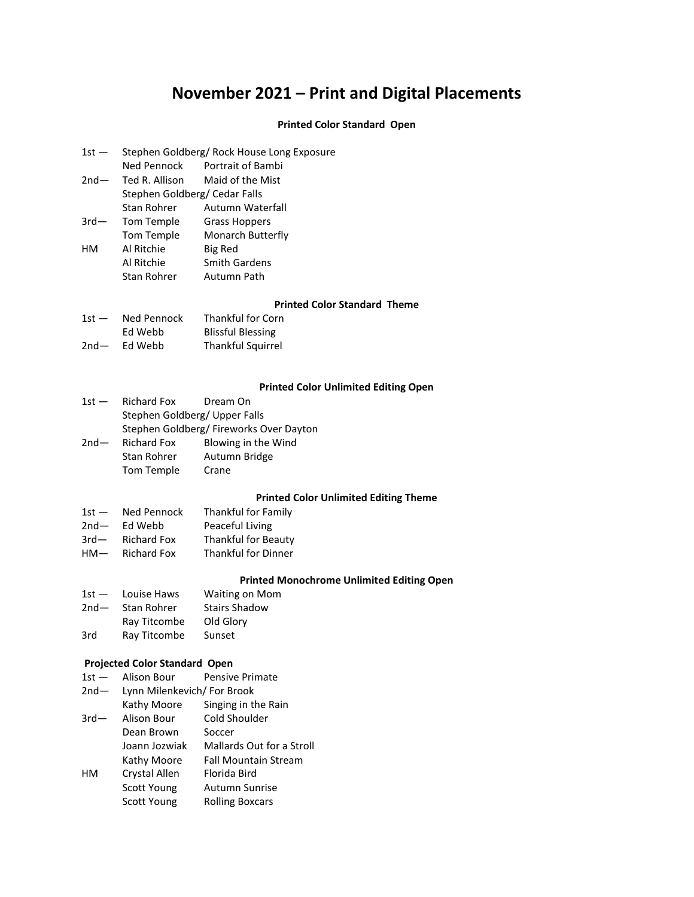# **November 2021 – Print and Digital Placements**

### **Printed Color Standard Open**

- 1st Stephen Goldberg/ Rock House Long Exposure
- Ned Pennock Portrait of Bambi
- 2nd— Ted R. Allison Maid of the Mist
- Stephen Goldberg/ Cedar Falls
- Stan Rohrer Autumn Waterfall 3rd— Tom Temple Grass Hoppers Tom Temple Monarch Butterfly HM Al Ritchie Big Red Al Ritchie Smith Gardens
- Stan Rohrer Autumn Path

#### **Printed Color Standard Theme**

| $1st -$ | Ned Pennock | Thankful for Corn        |  |
|---------|-------------|--------------------------|--|
|         | Ed Webb     | <b>Blissful Blessing</b> |  |
| $2nd-$  | Ed Webb     | <b>Thankful Squirrel</b> |  |

#### **Printed Color Unlimited Editing Open**

| <b>Richard Fox</b>                     | Dream On            |
|----------------------------------------|---------------------|
| Stephen Goldberg/ Upper Falls          |                     |
| Stephen Goldberg/Fireworks Over Dayton |                     |
| <b>Richard Fox</b>                     | Blowing in the Wind |
| <b>Stan Rohrer</b>                     | Autumn Bridge       |
| Tom Temple                             | Crane               |
|                                        |                     |

#### **Printed Color Unlimited Editing Theme**

| $1st -$ | Ned Pennock        | Thankful for Family        |
|---------|--------------------|----------------------------|
| $2nd-$  | Ed Webb            | Peaceful Living            |
| $3rd-$  | <b>Richard Fox</b> | <b>Thankful for Beauty</b> |
| $HM-$   | <b>Richard Fox</b> | <b>Thankful for Dinner</b> |

#### **Printed Monochrome Unlimited Editing Open**

| $1st -$ | Louise Haws  | <b>Waiting on Mom</b> |
|---------|--------------|-----------------------|
| $2nd-$  | Stan Rohrer  | <b>Stairs Shadow</b>  |
|         | Ray Titcombe | Old Glory             |
| 3rd     | Ray Titcombe | Sunset                |

#### **Projected Color Standard Open**

1st - Alison Bour Pensive Primate 2nd— Lynn Milenkevich/ For Brook Kathy Moore Singing in the Rain 3rd— Alison Bour Cold Shoulder Dean Brown Soccer Joann Jozwiak Mallards Out for a Stroll Kathy Moore Fall Mountain Stream HM Crystal Allen Florida Bird Scott Young Autumn Sunrise Scott Young Rolling Boxcars